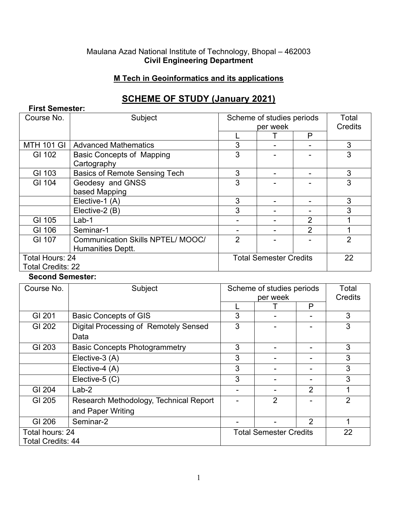#### Maulana Azad National Institute of Technology, Bhopal – 462003 **Civil Engineering Department**

### **M Tech in Geoinformatics and its applications**

# **SCHEME OF STUDY (January 2021)**

| <b>First Semester:</b>   |                                          |                               |   |         |                |
|--------------------------|------------------------------------------|-------------------------------|---|---------|----------------|
| Course No.               | Subject                                  | Scheme of studies periods     |   |         | Total          |
|                          |                                          | per week                      |   | Credits |                |
|                          |                                          |                               |   | P       |                |
| MTH 101 GI               | <b>Advanced Mathematics</b>              | 3                             | ۰ |         | 3              |
| GI 102                   | <b>Basic Concepts of Mapping</b>         | 3                             |   |         | 3              |
|                          | Cartography                              |                               |   |         |                |
| GI 103                   | <b>Basics of Remote Sensing Tech</b>     | 3                             |   |         | 3              |
| GI 104                   | Geodesy and GNSS                         | 3                             |   |         | 3              |
|                          | based Mapping                            |                               |   |         |                |
|                          | Elective-1 (A)                           | 3                             |   |         | 3              |
|                          | Elective-2 (B)                           | 3                             |   |         | 3              |
| GI 105                   | $Lab-1$                                  |                               |   | 2       |                |
| GI 106                   | Seminar-1                                |                               |   | 2       |                |
| GI 107                   | <b>Communication Skills NPTEL/ MOOC/</b> | 2                             |   |         | $\overline{2}$ |
|                          | Humanities Deptt.                        |                               |   |         |                |
| Total Hours: 24          |                                          | <b>Total Semester Credits</b> |   |         | 22             |
| <b>Total Credits: 22</b> |                                          |                               |   |         |                |

**Second Semester:**

| Course No.               | Subject                                | Scheme of studies periods<br>per week |                | Total<br>Credits |                |
|--------------------------|----------------------------------------|---------------------------------------|----------------|------------------|----------------|
|                          |                                        |                                       |                | P                |                |
| GI 201                   | <b>Basic Concepts of GIS</b>           | 3                                     |                |                  | 3              |
| GI 202                   | Digital Processing of Remotely Sensed  | 3                                     |                |                  | 3              |
|                          | Data                                   |                                       |                |                  |                |
| GI 203                   | <b>Basic Concepts Photogrammetry</b>   | 3                                     |                |                  | 3              |
|                          | Elective-3 (A)                         | 3                                     |                |                  | 3              |
|                          | Elective-4 (A)                         | 3                                     |                |                  | 3              |
|                          | Elective-5 (C)                         | 3                                     |                |                  | 3              |
| GI 204                   | $Lab-2$                                |                                       |                | $\overline{2}$   | 1              |
| GI 205                   | Research Methodology, Technical Report |                                       | $\overline{2}$ |                  | $\overline{2}$ |
|                          | and Paper Writing                      |                                       |                |                  |                |
| GI 206                   | Seminar-2                              |                                       |                | $\overline{2}$   |                |
| Total hours: 24          |                                        | <b>Total Semester Credits</b>         |                |                  | 22             |
| <b>Total Credits: 44</b> |                                        |                                       |                |                  |                |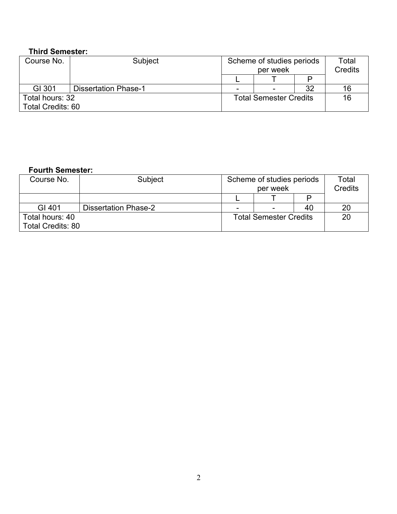## **Third Semester:**

| Course No.               | Subject                     | Scheme of studies periods<br>per week |                          | Total<br><b>Credits</b> |    |
|--------------------------|-----------------------------|---------------------------------------|--------------------------|-------------------------|----|
|                          |                             |                                       |                          |                         |    |
| GI 301                   | <b>Dissertation Phase-1</b> |                                       | $\overline{\phantom{a}}$ | 32                      | 16 |
| Total hours: 32          |                             | <b>Total Semester Credits</b>         |                          | 16                      |    |
| <b>Total Credits: 60</b> |                             |                                       |                          |                         |    |

## **Fourth Semester:**

| Course No.               | Subject                     | Scheme of studies periods     |   |    | Total   |
|--------------------------|-----------------------------|-------------------------------|---|----|---------|
|                          |                             | per week                      |   |    | Credits |
|                          |                             |                               |   |    |         |
| GI 401                   | <b>Dissertation Phase-2</b> |                               | ۰ | 40 | 20      |
| Total hours: 40          |                             | <b>Total Semester Credits</b> |   |    | 20      |
| <b>Total Credits: 80</b> |                             |                               |   |    |         |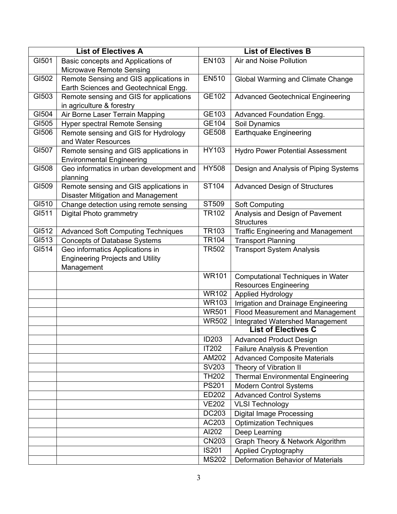| <b>List of Electives A</b> |                                           |              | <b>List of Electives B</b>                |
|----------------------------|-------------------------------------------|--------------|-------------------------------------------|
| GI501                      | Basic concepts and Applications of        | EN103        | Air and Noise Pollution                   |
|                            | Microwave Remote Sensing                  |              |                                           |
| GI502                      | Remote Sensing and GIS applications in    | <b>EN510</b> | Global Warming and Climate Change         |
|                            | Earth Sciences and Geotechnical Engg.     |              |                                           |
| GI503                      | Remote sensing and GIS for applications   | GE102        | <b>Advanced Geotechnical Engineering</b>  |
|                            | in agriculture & forestry                 |              |                                           |
| GI504                      | Air Borne Laser Terrain Mapping           | GE103        | Advanced Foundation Engg.                 |
| GI505                      | <b>Hyper spectral Remote Sensing</b>      | GE104        | Soil Dynamics                             |
| GI506                      | Remote sensing and GIS for Hydrology      | GE508        | Earthquake Engineering                    |
|                            | and Water Resources                       |              |                                           |
| GI507                      | Remote sensing and GIS applications in    | HY103        | <b>Hydro Power Potential Assessment</b>   |
|                            | <b>Environmental Engineering</b>          |              |                                           |
| GI508                      | Geo informatics in urban development and  | <b>HY508</b> | Design and Analysis of Piping Systems     |
|                            | planning                                  |              |                                           |
| GI509                      | Remote sensing and GIS applications in    | ST104        | <b>Advanced Design of Structures</b>      |
|                            | <b>Disaster Mitigation and Management</b> |              |                                           |
| GI510                      | Change detection using remote sensing     | ST509        | <b>Soft Computing</b>                     |
| GI511                      | <b>Digital Photo grammetry</b>            | <b>TR102</b> | Analysis and Design of Pavement           |
|                            |                                           |              | <b>Structures</b>                         |
| G1512                      | <b>Advanced Soft Computing Techniques</b> | <b>TR103</b> | <b>Traffic Engineering and Management</b> |
| G1513                      | <b>Concepts of Database Systems</b>       | <b>TR104</b> | <b>Transport Planning</b>                 |
| GI514                      | Geo informatics Applications in           | <b>TR502</b> | <b>Transport System Analysis</b>          |
|                            | <b>Engineering Projects and Utility</b>   |              |                                           |
|                            | Management                                | <b>WR101</b> | <b>Computational Techniques in Water</b>  |
|                            |                                           |              | <b>Resources Engineering</b>              |
|                            |                                           | <b>WR102</b> | Applied Hydrology                         |
|                            |                                           | <b>WR103</b> | Irrigation and Drainage Engineering       |
|                            |                                           | <b>WR501</b> | <b>Flood Measurement and Management</b>   |
|                            |                                           | <b>WR502</b> | <b>Integrated Watershed Management</b>    |
|                            |                                           |              | <b>List of Electives C</b>                |
|                            |                                           | <b>ID203</b> | <b>Advanced Product Design</b>            |
|                            |                                           | IT202        | <b>Failure Analysis &amp; Prevention</b>  |
|                            |                                           | AM202        | <b>Advanced Composite Materials</b>       |
|                            |                                           | SV203        | Theory of Vibration II                    |
|                            |                                           | <b>TH202</b> | <b>Thermal Environmental Engineering</b>  |
|                            |                                           | <b>PS201</b> | <b>Modern Control Systems</b>             |
|                            |                                           | ED202        | <b>Advanced Control Systems</b>           |
|                            |                                           | <b>VE202</b> | <b>VLSI Technology</b>                    |
|                            |                                           | DC203        | <b>Digital Image Processing</b>           |
|                            |                                           | AC203        | <b>Optimization Techniques</b>            |
|                            |                                           | Al202        | Deep Learning                             |
|                            |                                           | <b>CN203</b> | Graph Theory & Network Algorithm          |
|                            |                                           | <b>IS201</b> | <b>Applied Cryptography</b>               |
|                            |                                           | <b>MS202</b> | Deformation Behavior of Materials         |